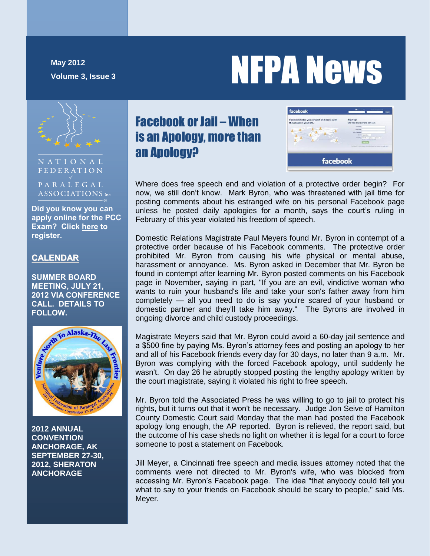**May 2012**

# May 2012<br>Volume 3, Issue 3<br>Volume 3, Issue 3



NATIONAL FEDERATION

PARALEGAL ASSOCIATIONS Inc.

**Did you know you can apply online for the PCC Exam? Click [here](https://www2.proexam.org/NFPA/Candidate/) to register.**

#### **CALENDAR**

**SUMMER BOARD MEETING, JULY 21, 2012 VIA CONFERENCE CALL. DETAILS TO FOLLOW.**



**2012 ANNUAL CONVENTION ANCHORAGE, AK SEPTEMBER 27-30, 2012, SHERATON ANCHORAGE**

# Facebook or Jail – When is an Apology, more than an Apology?



Where does free speech end and violation of a protective order begin? For now, we still don't know. Mark Byron, who was threatened with jail time for posting comments about his estranged wife on his personal Facebook page unless he posted daily apologies for a month, says the court's ruling in February of this year violated his freedom of speech.

Domestic Relations Magistrate Paul Meyers found Mr. Byron in contempt of a protective order because of his Facebook comments. The protective order prohibited Mr. Byron from causing his wife physical or mental abuse, harassment or annoyance. Ms. Byron asked in December that Mr. Byron be found in contempt after learning Mr. Byron posted comments on his Facebook page in November, saying in part, "If you are an evil, vindictive woman who wants to ruin your husband's life and take your son's father away from him completely — all you need to do is say you're scared of your husband or domestic partner and they'll take him away." The Byrons are involved in ongoing divorce and child custody proceedings.

Magistrate Meyers said that Mr. Byron could avoid a 60-day jail sentence and a \$500 fine by paying Ms. Byron's attorney fees and posting an apology to her and all of his Facebook friends every day for 30 days, no later than 9 a.m. Mr. Byron was complying with the forced Facebook apology, until suddenly he wasn't. On day 26 he abruptly stopped posting the lengthy apology written by the court magistrate, saying it violated his right to free speech.

Mr. Byron told the Associated Press he was willing to go to jail to protect his rights, but it turns out that it won't be necessary. Judge Jon Seive of Hamilton County Domestic Court said Monday that the man had posted the Facebook apology long enough, the AP reported. Byron is relieved, the report said, but the outcome of his case sheds no light on whether it is legal for a court to force someone to post a statement on Facebook.

Jill Meyer, a Cincinnati free speech and media issues attorney noted that the comments were not directed to Mr. Byron's wife, who was blocked from accessing Mr. Byron's Facebook page. The idea "that anybody could tell you what to say to your friends on Facebook should be scary to people," said Ms. Meyer.